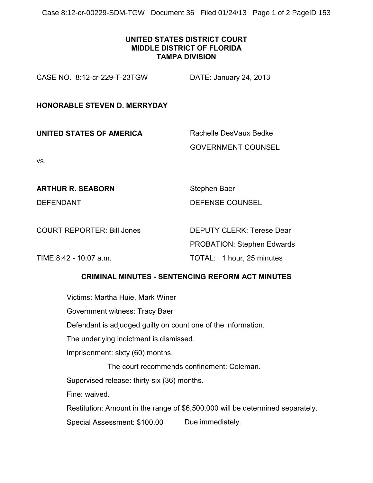Case 8:12-cr-00229-SDM-TGW Document 36 Filed 01/24/13 Page 1 of 2 PageID 153

## **UNITED STATES DISTRICT COURT MIDDLE DISTRICT OF FLORIDA TAMPA DIVISION**

CASE NO. 8:12-cr-229-T-23TGW DATE: January 24, 2013

## **HONORABLE STEVEN D. MERRYDAY**

**UNITED STATES OF AMERICA** Rachelle DesVaux Bedke GOVERNMENT COUNSEL

vs.

**ARTHUR R. SEABORN** Stephen Baer

DEFENDANT DEFENSE COUNSEL

COURT REPORTER: Bill Jones DEPUTY CLERK: Terese Dear PROBATION: Stephen Edwards TIME:8:42 - 10:07 a.m. TOTAL: 1 hour, 25 minutes

## **CRIMINAL MINUTES - SENTENCING REFORM ACT MINUTES**

Victims: Martha Huie, Mark Winer

Government witness: Tracy Baer

Defendant is adjudged guilty on count one of the information.

The underlying indictment is dismissed.

Imprisonment: sixty (60) months.

The court recommends confinement: Coleman.

Supervised release: thirty-six (36) months.

Fine: waived.

Restitution: Amount in the range of \$6,500,000 will be determined separately.

Special Assessment: \$100.00 Due immediately.